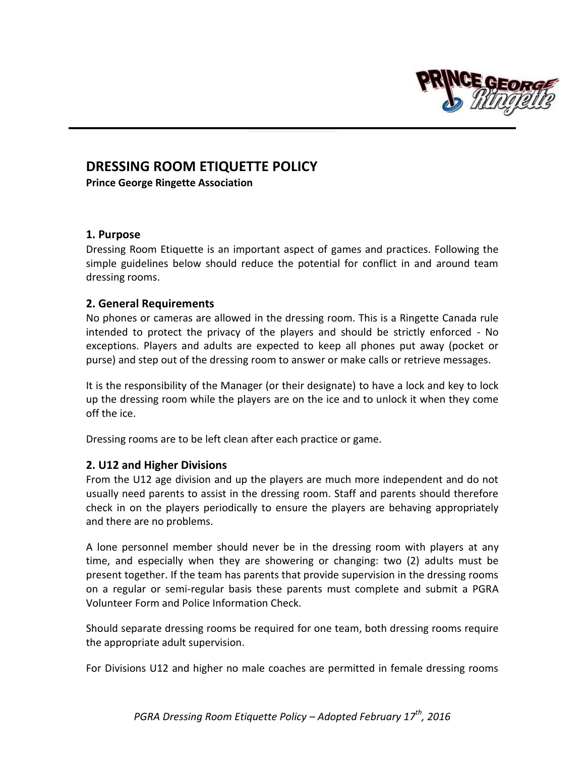

## **DRESSING ROOM ETIQUETTE POLICY**

**Prince George Ringette Association**

## **1. Purpose**

Dressing Room Etiquette is an important aspect of games and practices. Following the simple guidelines below should reduce the potential for conflict in and around team dressing rooms.

## **2. General Requirements**

No phones or cameras are allowed in the dressing room. This is a Ringette Canada rule intended to protect the privacy of the players and should be strictly enforced - No exceptions. Players and adults are expected to keep all phones put away (pocket or purse) and step out of the dressing room to answer or make calls or retrieve messages.

It is the responsibility of the Manager (or their designate) to have a lock and key to lock up the dressing room while the players are on the ice and to unlock it when they come off the ice.

Dressing rooms are to be left clean after each practice or game.

## **2. U12 and Higher Divisions**

From the U12 age division and up the players are much more independent and do not usually need parents to assist in the dressing room. Staff and parents should therefore check in on the players periodically to ensure the players are behaving appropriately and there are no problems.

A lone personnel member should never be in the dressing room with players at any time, and especially when they are showering or changing: two (2) adults must be present together. If the team has parents that provide supervision in the dressing rooms on a regular or semi-regular basis these parents must complete and submit a PGRA Volunteer Form and Police Information Check.

Should separate dressing rooms be required for one team, both dressing rooms require the appropriate adult supervision.

For Divisions U12 and higher no male coaches are permitted in female dressing rooms